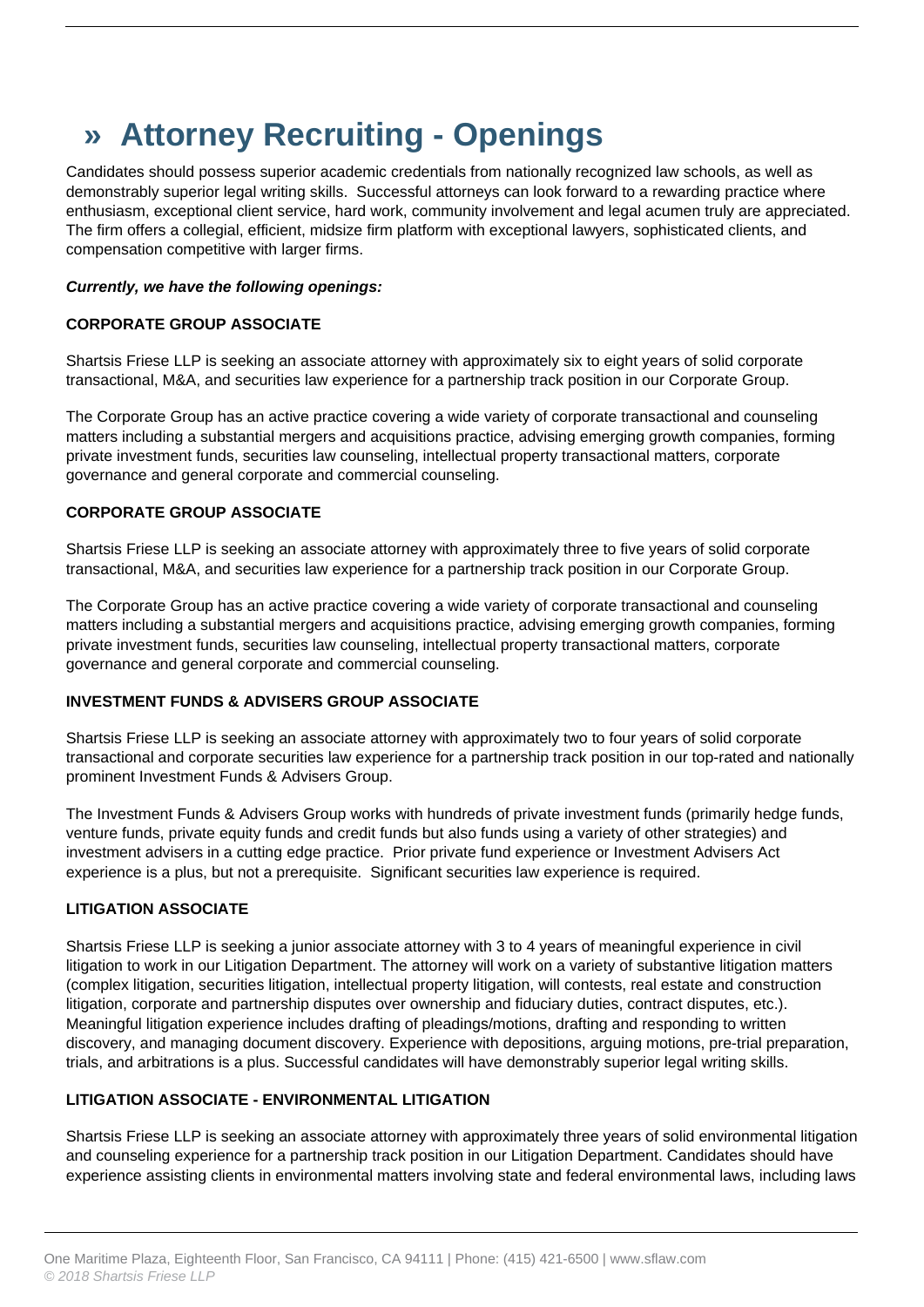# **» Attorney Recruiting - Openings**

Candidates should possess superior academic credentials from nationally recognized law schools, as well as demonstrably superior legal writing skills. Successful attorneys can look forward to a rewarding practice where enthusiasm, exceptional client service, hard work, community involvement and legal acumen truly are appreciated. The firm offers a collegial, efficient, midsize firm platform with exceptional lawyers, sophisticated clients, and compensation competitive with larger firms.

## **Currently, we have the following openings:**

## **CORPORATE GROUP ASSOCIATE**

Shartsis Friese LLP is seeking an associate attorney with approximately six to eight years of solid corporate transactional, M&A, and securities law experience for a partnership track position in our Corporate Group.

The Corporate Group has an active practice covering a wide variety of corporate transactional and counseling matters including a substantial mergers and acquisitions practice, advising emerging growth companies, forming private investment funds, securities law counseling, intellectual property transactional matters, corporate governance and general corporate and commercial counseling.

## **CORPORATE GROUP ASSOCIATE**

Shartsis Friese LLP is seeking an associate attorney with approximately three to five years of solid corporate transactional, M&A, and securities law experience for a partnership track position in our Corporate Group.

The Corporate Group has an active practice covering a wide variety of corporate transactional and counseling matters including a substantial mergers and acquisitions practice, advising emerging growth companies, forming private investment funds, securities law counseling, intellectual property transactional matters, corporate governance and general corporate and commercial counseling.

#### **INVESTMENT FUNDS & ADVISERS GROUP ASSOCIATE**

Shartsis Friese LLP is seeking an associate attorney with approximately two to four years of solid corporate transactional and corporate securities law experience for a partnership track position in our top-rated and nationally prominent Investment Funds & Advisers Group.

The Investment Funds & Advisers Group works with hundreds of private investment funds (primarily hedge funds, venture funds, private equity funds and credit funds but also funds using a variety of other strategies) and investment advisers in a cutting edge practice. Prior private fund experience or Investment Advisers Act experience is a plus, but not a prerequisite. Significant securities law experience is required.

#### **LITIGATION ASSOCIATE**

Shartsis Friese LLP is seeking a junior associate attorney with 3 to 4 years of meaningful experience in civil litigation to work in our Litigation Department. The attorney will work on a variety of substantive litigation matters (complex litigation, securities litigation, intellectual property litigation, will contests, real estate and construction litigation, corporate and partnership disputes over ownership and fiduciary duties, contract disputes, etc.). Meaningful litigation experience includes drafting of pleadings/motions, drafting and responding to written discovery, and managing document discovery. Experience with depositions, arguing motions, pre-trial preparation, trials, and arbitrations is a plus. Successful candidates will have demonstrably superior legal writing skills.

## **LITIGATION ASSOCIATE - ENVIRONMENTAL LITIGATION**

Shartsis Friese LLP is seeking an associate attorney with approximately three years of solid environmental litigation and counseling experience for a partnership track position in our Litigation Department. Candidates should have experience assisting clients in environmental matters involving state and federal environmental laws, including laws